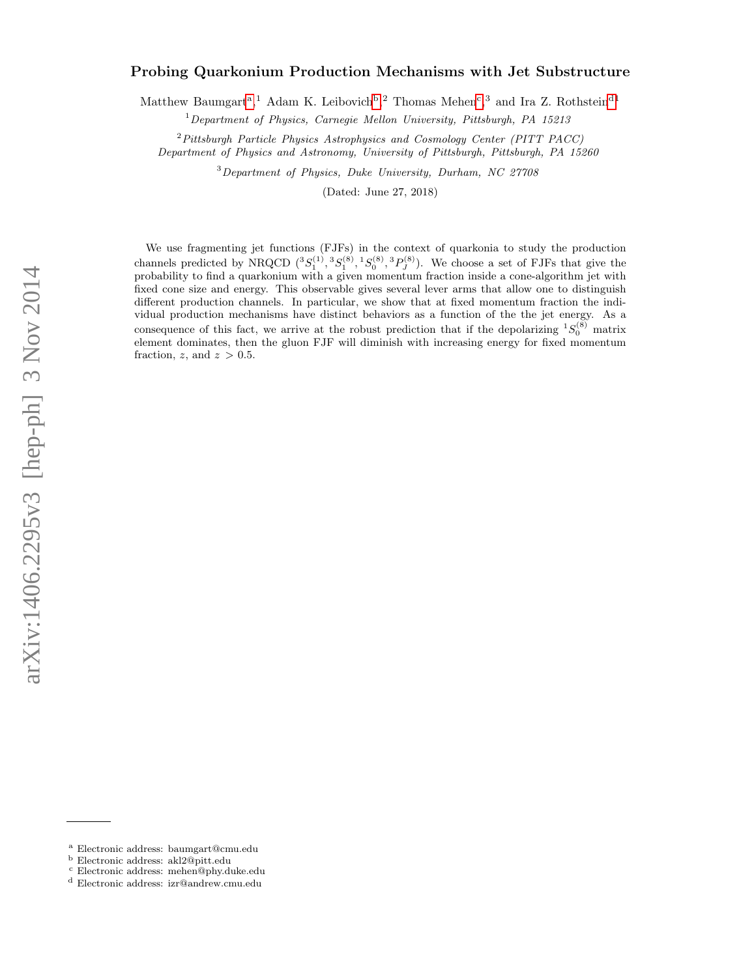# arXiv:1406.2295v3 [hep-ph] 3 Nov 2014 arXiv:1406.2295v3 [hep-ph] 3 Nov 2014

# Probing Quarkonium Production Mechanisms with Jet Substructure

M[a](#page-0-0)tthew Baumgart<sup>a</sup>,<sup>1</sup> Adam K. Lei[b](#page-0-1)ovi[c](#page-0-2)h<sup>b</sup>,<sup>2</sup> Thomas Mehen<sup>c</sup>,<sup>3</sup> and Ira Z. Rothstein<sup>[d1](#page-0-3)</sup>

 $1$  Department of Physics, Carnegie Mellon University, Pittsburgh, PA 15213

<sup>2</sup>Pittsburgh Particle Physics Astrophysics and Cosmology Center (PITT PACC) Department of Physics and Astronomy, University of Pittsburgh, Pittsburgh, PA 15260

<sup>3</sup>Department of Physics, Duke University, Durham, NC 27708

(Dated: June 27, 2018)

We use fragmenting jet functions (FJFs) in the context of quarkonia to study the production channels predicted by NRQCD  $({}^3S_1^{(1)}, {}^3S_1^{(8)}, {}^1S_0^{(8)}, {}^3P_J^{(8)})$ . We choose a set of FJFs that give the probability to find a quarkonium with a given momentum fraction inside a cone-algorithm jet with fixed cone size and energy. This observable gives several lever arms that allow one to distinguish different production channels. In particular, we show that at fixed momentum fraction the individual production mechanisms have distinct behaviors as a function of the the jet energy. As a consequence of this fact, we arrive at the robust prediction that if the depolarizing  ${}^{1}S_{0}^{(8)}$  matrix element dominates, then the gluon FJF will diminish with increasing energy for fixed momentum fraction, z, and  $z > 0.5$ .

<span id="page-0-0"></span><sup>a</sup> Electronic address: baumgart@cmu.edu

<span id="page-0-1"></span><sup>b</sup> Electronic address: akl2@pitt.edu

<span id="page-0-2"></span><sup>c</sup> Electronic address: mehen@phy.duke.edu

<span id="page-0-3"></span><sup>d</sup> Electronic address: izr@andrew.cmu.edu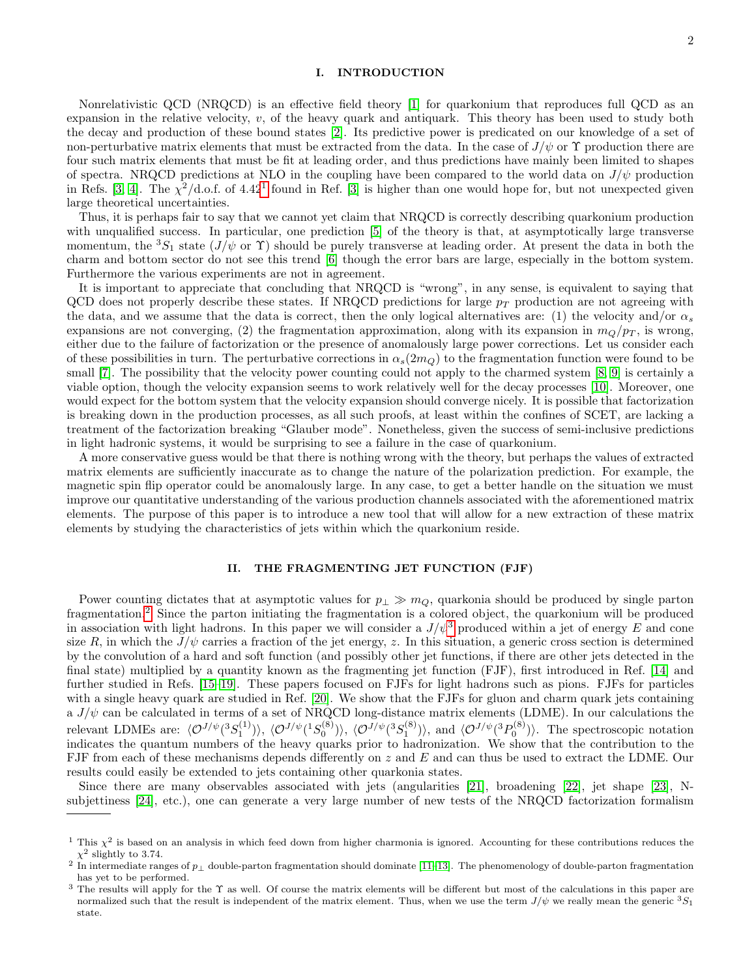# I. INTRODUCTION

Nonrelativistic QCD (NRQCD) is an effective field theory [\[1\]](#page-12-0) for quarkonium that reproduces full QCD as an expansion in the relative velocity,  $v$ , of the heavy quark and antiquark. This theory has been used to study both the decay and production of these bound states [\[2\]](#page-12-1). Its predictive power is predicated on our knowledge of a set of non-perturbative matrix elements that must be extracted from the data. In the case of  $J/\psi$  or  $\Upsilon$  production there are four such matrix elements that must be fit at leading order, and thus predictions have mainly been limited to shapes of spectra. NRQCD predictions at NLO in the coupling have been compared to the world data on  $J/\psi$  production in Refs. [\[3,](#page-12-2) [4\]](#page-12-3). The  $\chi^2/\text{d.o.f.}$  of 4.42<sup>[1](#page-1-0)</sup> found in Ref. [\[3\]](#page-12-2) is higher than one would hope for, but not unexpected given large theoretical uncertainties.

Thus, it is perhaps fair to say that we cannot yet claim that NRQCD is correctly describing quarkonium production with unqualified success. In particular, one prediction [\[5\]](#page-12-4) of the theory is that, at asymptotically large transverse momentum, the  ${}^3S_1$  state  $(J/\psi \text{ or } \Upsilon)$  should be purely transverse at leading order. At present the data in both the charm and bottom sector do not see this trend [\[6\]](#page-12-5) though the error bars are large, especially in the bottom system. Furthermore the various experiments are not in agreement.

It is important to appreciate that concluding that NRQCD is "wrong", in any sense, is equivalent to saying that QCD does not properly describe these states. If NRQCD predictions for large  $p_T$  production are not agreeing with the data, and we assume that the data is correct, then the only logical alternatives are: (1) the velocity and/or  $\alpha_s$ expansions are not converging, (2) the fragmentation approximation, along with its expansion in  $m_Q/p_T$ , is wrong, either due to the failure of factorization or the presence of anomalously large power corrections. Let us consider each of these possibilities in turn. The perturbative corrections in  $\alpha_s(2m_Q)$  to the fragmentation function were found to be small [\[7\]](#page-12-6). The possibility that the velocity power counting could not apply to the charmed system [\[8,](#page-12-7) [9\]](#page-12-8) is certainly a viable option, though the velocity expansion seems to work relatively well for the decay processes [\[10\]](#page-12-9). Moreover, one would expect for the bottom system that the velocity expansion should converge nicely. It is possible that factorization is breaking down in the production processes, as all such proofs, at least within the confines of SCET, are lacking a treatment of the factorization breaking "Glauber mode". Nonetheless, given the success of semi-inclusive predictions in light hadronic systems, it would be surprising to see a failure in the case of quarkonium.

A more conservative guess would be that there is nothing wrong with the theory, but perhaps the values of extracted matrix elements are sufficiently inaccurate as to change the nature of the polarization prediction. For example, the magnetic spin flip operator could be anomalously large. In any case, to get a better handle on the situation we must improve our quantitative understanding of the various production channels associated with the aforementioned matrix elements. The purpose of this paper is to introduce a new tool that will allow for a new extraction of these matrix elements by studying the characteristics of jets within which the quarkonium reside.

# II. THE FRAGMENTING JET FUNCTION (FJF)

Power counting dictates that at asymptotic values for  $p_\perp \gg m_Q$ , quarkonia should be produced by single parton fragmentation.[2](#page-1-1) Since the parton initiating the fragmentation is a colored object, the quarkonium will be produced in association with light hadrons. In this paper we will consider a  $J/\psi^3$  $J/\psi^3$  produced within a jet of energy E and cone size R, in which the  $J/\psi$  carries a fraction of the jet energy, z. In this situation, a generic cross section is determined by the convolution of a hard and soft function (and possibly other jet functions, if there are other jets detected in the final state) multiplied by a quantity known as the fragmenting jet function (FJF), first introduced in Ref. [[14\]](#page-12-10) and further studied in Refs. [\[15–](#page-12-11)[19\]](#page-12-12). These papers focused on FJFs for light hadrons such as pions. FJFs for particles with a single heavy quark are studied in Ref. [\[20\]](#page-12-13). We show that the FJFs for gluon and charm quark jets containing a  $J/\psi$  can be calculated in terms of a set of NRQCD long-distance matrix elements (LDME). In our calculations the relevant LDMEs are:  $\langle \mathcal{O}^{J/\psi}(^3S_1^{(1)}) \rangle$ ,  $\langle \mathcal{O}^{J/\psi}(^1S_0^{(8)}) \rangle$ ,  $\langle \mathcal{O}^{J/\psi}(^3S_1^{(8)}) \rangle$ , and  $\langle \mathcal{O}^{J/\psi}(^3P_0^{(8)}) \rangle$ . The spectroscopic notation indicates the quantum numbers of the heavy quarks prior to hadronization. We show that the contribution to the FJF from each of these mechanisms depends differently on z and E and can thus be used to extract the LDME. Our results could easily be extended to jets containing other quarkonia states.

Since there are many observables associated with jets (angularities [\[21\]](#page-12-14), broadening [\[22\]](#page-12-15), jet shape [\[23\]](#page-12-16), Nsubjettiness [\[24\]](#page-12-17), etc.), one can generate a very large number of new tests of the NRQCD factorization formalism

<span id="page-1-0"></span><sup>&</sup>lt;sup>1</sup> This  $\chi^2$  is based on an analysis in which feed down from higher charmonia is ignored. Accounting for these contributions reduces the  $\chi^2$  slightly to 3.74.

<span id="page-1-1"></span><sup>&</sup>lt;sup>2</sup> In intermediate ranges of  $p_{\perp}$  double-parton fragmentation should dominate [\[11](#page-12-18)[–13\]](#page-12-19). The phenomenology of double-parton fragmentation has yet to be performed.

<span id="page-1-2"></span><sup>&</sup>lt;sup>3</sup> The results will apply for the  $\Upsilon$  as well. Of course the matrix elements will be different but most of the calculations in this paper are normalized such that the result is independent of the matrix element. Thus, when we use the term  $J/\psi$  we really mean the generic  ${}^3S_1$ state.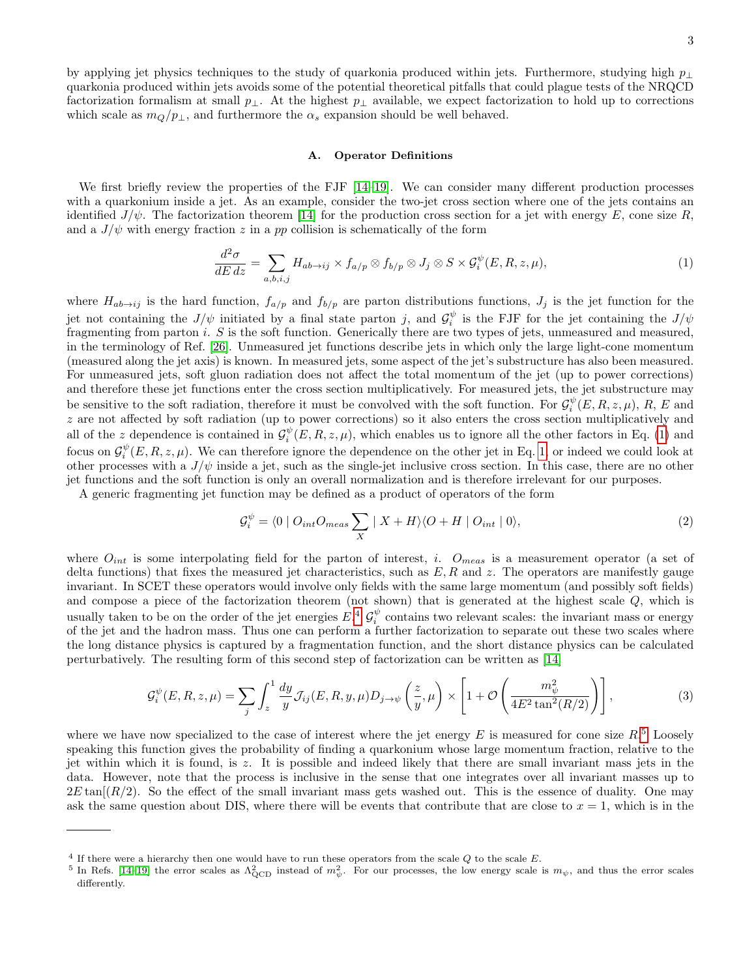3

by applying jet physics techniques to the study of quarkonia produced within jets. Furthermore, studying high p<sup>⊥</sup> quarkonia produced within jets avoids some of the potential theoretical pitfalls that could plague tests of the NRQCD factorization formalism at small  $p_{\perp}$ . At the highest  $p_{\perp}$  available, we expect factorization to hold up to corrections which scale as  $m_Q/p_{\perp}$ , and furthermore the  $\alpha_s$  expansion should be well behaved.

# A. Operator Definitions

We first briefly review the properties of the FJF [\[14](#page-12-10)[–19\]](#page-12-12). We can consider many different production processes with a quarkonium inside a jet. As an example, consider the two-jet cross section where one of the jets contains an identified  $J/\psi$ . The factorization theorem [\[14\]](#page-12-10) for the production cross section for a jet with energy E, cone size R, and a  $J/\psi$  with energy fraction z in a pp collision is schematically of the form

<span id="page-2-0"></span>
$$
\frac{d^2\sigma}{dE\,dz} = \sum_{a,b,i,j} H_{ab \to ij} \times f_{a/p} \otimes f_{b/p} \otimes J_j \otimes S \times \mathcal{G}_i^{\psi}(E,R,z,\mu),\tag{1}
$$

where  $H_{ab\to ij}$  is the hard function,  $f_{a/p}$  and  $f_{b/p}$  are parton distributions functions,  $J_j$  is the jet function for the jet not containing the  $J/\psi$  initiated by a final state parton j, and  $\mathcal{G}_i^{\psi}$  is the FJF for the jet containing the  $J/\psi$ fragmenting from parton i. S is the soft function. Generically there are two types of jets, unmeasured and measured, in the terminology of Ref. [\[26\]](#page-12-20). Unmeasured jet functions describe jets in which only the large light-cone momentum (measured along the jet axis) is known. In measured jets, some aspect of the jet's substructure has also been measured. For unmeasured jets, soft gluon radiation does not affect the total momentum of the jet (up to power corrections) and therefore these jet functions enter the cross section multiplicatively. For measured jets, the jet substructure may be sensitive to the soft radiation, therefore it must be convolved with the soft function. For  $\mathcal{G}_i^{\psi}(E, R, z, \mu)$ , R, E and z are not affected by soft radiation (up to power corrections) so it also enters the cross section multiplicatively and all of the z dependence is contained in  $\mathcal{G}_i^{\psi}(E, R, z, \mu)$ , which enables us to ignore all the other factors in Eq. [\(1\)](#page-2-0) and focus on  $\mathcal{G}_i^{\psi}(E, R, z, \mu)$ . We can therefore ignore the dependence on the other jet in Eq. [1,](#page-2-0) or indeed we could look at other processes with a  $J/\psi$  inside a jet, such as the single-jet inclusive cross section. In this case, there are no other jet functions and the soft function is only an overall normalization and is therefore irrelevant for our purposes.

A generic fragmenting jet function may be defined as a product of operators of the form

$$
\mathcal{G}_i^{\psi} = \langle 0 \mid O_{int}O_{meas} \sum_X \mid X + H \rangle \langle O + H \mid O_{int} \mid 0 \rangle, \tag{2}
$$

where  $O_{int}$  is some interpolating field for the parton of interest, i.  $O_{meas}$  is a measurement operator (a set of delta functions) that fixes the measured jet characteristics, such as  $E, R$  and z. The operators are manifestly gauge invariant. In SCET these operators would involve only fields with the same large momentum (and possibly soft fields) and compose a piece of the factorization theorem (not shown) that is generated at the highest scale Q, which is usually taken to be on the order of the jet energies  $E^A$   $\mathcal{G}_i^{\psi}$  contains two relevant scales: the invariant mass or energy of the jet and the hadron mass. Thus one can perform a further factorization to separate out these two scales where the long distance physics is captured by a fragmentation function, and the short distance physics can be calculated perturbatively. The resulting form of this second step of factorization can be written as [\[14\]](#page-12-10)

<span id="page-2-3"></span>
$$
\mathcal{G}_i^{\psi}(E, R, z, \mu) = \sum_j \int_z^1 \frac{dy}{y} \mathcal{J}_{ij}(E, R, y, \mu) D_{j \to \psi} \left(\frac{z}{y}, \mu\right) \times \left[1 + \mathcal{O}\left(\frac{m_{\psi}^2}{4E^2 \tan^2(R/2)}\right)\right],\tag{3}
$$

where we have now specialized to the case of interest where the jet energy  $E$  is measured for cone size  $R$ <sup>[5](#page-2-2)</sup>. Loosely speaking this function gives the probability of finding a quarkonium whose large momentum fraction, relative to the jet within which it is found, is z. It is possible and indeed likely that there are small invariant mass jets in the data. However, note that the process is inclusive in the sense that one integrates over all invariant masses up to  $2E \tan(R/2)$ . So the effect of the small invariant mass gets washed out. This is the essence of duality. One may ask the same question about DIS, where there will be events that contribute that are close to  $x = 1$ , which is in the

<span id="page-2-1"></span> $4$  If there were a hierarchy then one would have to run these operators from the scale  $Q$  to the scale  $E$ .

<span id="page-2-2"></span><sup>&</sup>lt;sup>5</sup> In Refs. [\[14–](#page-12-10)[19\]](#page-12-12) the error scales as  $\Lambda_{\text{QCD}}^2$  instead of  $m_\psi^2$ . For our processes, the low energy scale is  $m_\psi$ , and thus the error scales differently.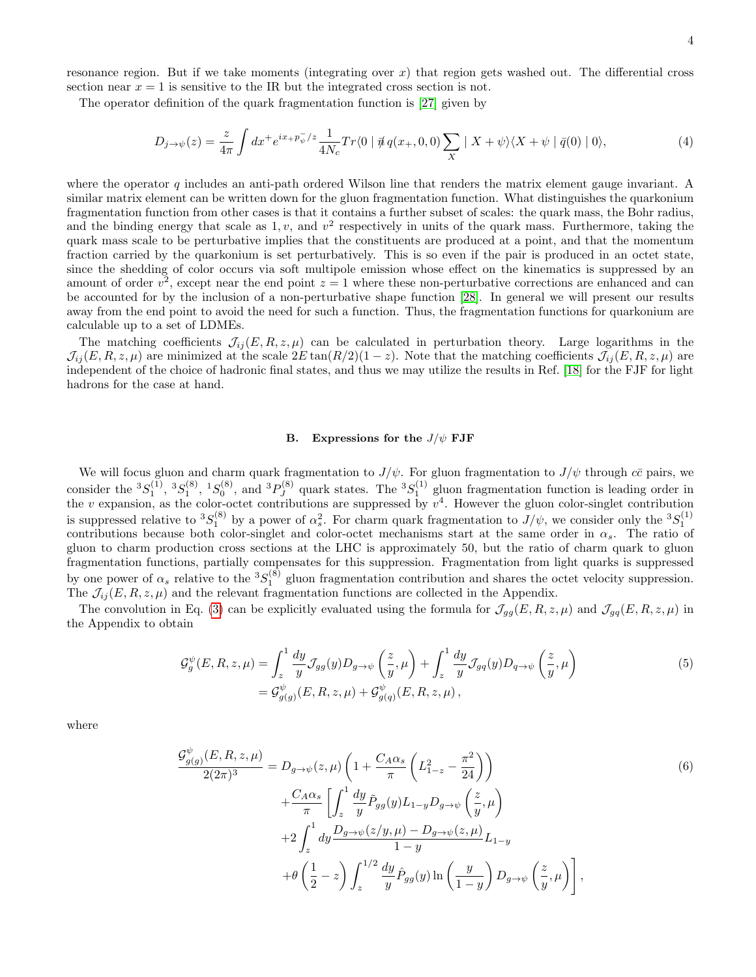resonance region. But if we take moments (integrating over  $x$ ) that region gets washed out. The differential cross section near  $x = 1$  is sensitive to the IR but the integrated cross section is not.

The operator definition of the quark fragmentation function is [\[27\]](#page-12-21) given by

$$
D_{j \to \psi}(z) = \frac{z}{4\pi} \int dx^+ e^{ix_+ p_\psi^-/z} \frac{1}{4N_c} Tr\langle 0 \mid \vec{\psi} \, q(x_+, 0, 0) \sum_X \mid X + \psi \rangle \langle X + \psi \mid \vec{q}(0) \mid 0 \rangle, \tag{4}
$$

where the operator  $q$  includes an anti-path ordered Wilson line that renders the matrix element gauge invariant. A similar matrix element can be written down for the gluon fragmentation function. What distinguishes the quarkonium fragmentation function from other cases is that it contains a further subset of scales: the quark mass, the Bohr radius, and the binding energy that scale as  $1, v$ , and  $v^2$  respectively in units of the quark mass. Furthermore, taking the quark mass scale to be perturbative implies that the constituents are produced at a point, and that the momentum fraction carried by the quarkonium is set perturbatively. This is so even if the pair is produced in an octet state, since the shedding of color occurs via soft multipole emission whose effect on the kinematics is suppressed by an amount of order  $v^2$ , except near the end point  $z = 1$  where these non-perturbative corrections are enhanced and can be accounted for by the inclusion of a non-perturbative shape function [\[28\]](#page-12-22). In general we will present our results away from the end point to avoid the need for such a function. Thus, the fragmentation functions for quarkonium are calculable up to a set of LDMEs.

The matching coefficients  $\mathcal{J}_{ij}(E, R, z, \mu)$  can be calculated in perturbation theory. Large logarithms in the  $\mathcal{J}_{ij}(E, R, z, \mu)$  are minimized at the scale  $2E \tan(R/2)(1-z)$ . Note that the matching coefficients  $\mathcal{J}_{ij}(E, R, z, \mu)$  are independent of the choice of hadronic final states, and thus we may utilize the results in Ref. [\[18\]](#page-12-23) for the FJF for light hadrons for the case at hand.

### B. Expressions for the  $J/\psi$  FJF

We will focus gluon and charm quark fragmentation to  $J/\psi$ . For gluon fragmentation to  $J/\psi$  through  $c\bar{c}$  pairs, we consider the  ${}^{3}S_{1}^{(1)}, {}^{3}S_{1}^{(8)}, {}^{1}S_{0}^{(8)},$  and  ${}^{3}P_{J}^{(8)}$  $J_J^{(8)}$  quark states. The  ${}^3S_1^{(1)}$  gluon fragmentation function is leading order in the v expansion, as the color-octet contributions are suppressed by  $v^4$ . However the gluon color-singlet contribution is suppressed relative to  ${}^{3}S_{1}^{(8)}$  by a power of  $\alpha_s^2$ . For charm quark fragmentation to  $J/\psi$ , we consider only the  ${}^{3}S_{1}^{(1)}$  contributions because both color-singlet and color-octet mechanisms start at the gluon to charm production cross sections at the LHC is approximately 50, but the ratio of charm quark to gluon fragmentation functions, partially compensates for this suppression. Fragmentation from light quarks is suppressed by one power of  $\alpha_s$  relative to the  ${}^3S_1^{(8)}$  gluon fragmentation contribution and shares the octet velocity suppression. The  $\mathcal{J}_{ij}(E, R, z, \mu)$  and the relevant fragmentation functions are collected in the Appendix.

The convolution in Eq. [\(3\)](#page-2-3) can be explicitly evaluated using the formula for  $\mathcal{J}_{gg}(E, R, z, \mu)$  and  $\mathcal{J}_{gq}(E, R, z, \mu)$  in the Appendix to obtain

<span id="page-3-0"></span>
$$
\mathcal{G}_g^{\psi}(E, R, z, \mu) = \int_z^1 \frac{dy}{y} \mathcal{J}_{gg}(y) D_{g \to \psi} \left(\frac{z}{y}, \mu\right) + \int_z^1 \frac{dy}{y} \mathcal{J}_{gq}(y) D_{q \to \psi} \left(\frac{z}{y}, \mu\right)
$$
  
=  $\mathcal{G}_{g(g)}^{\psi}(E, R, z, \mu) + \mathcal{G}_{g(q)}^{\psi}(E, R, z, \mu),$  (5)

where

$$
\frac{\mathcal{G}_{g(g)}^{\psi}(E, R, z, \mu)}{2(2\pi)^3} = D_{g \to \psi}(z, \mu) \left( 1 + \frac{C_A \alpha_s}{\pi} \left( L_{1-z}^2 - \frac{\pi^2}{24} \right) \right)
$$
  
+ 
$$
\frac{C_A \alpha_s}{\pi} \left[ \int_z^1 \frac{dy}{y} \tilde{P}_{gg}(y) L_{1-y} D_{g \to \psi} \left( \frac{z}{y}, \mu \right) \right]
$$
  
+ 
$$
2 \int_z^1 dy \frac{D_{g \to \psi}(z/y, \mu) - D_{g \to \psi}(z, \mu)}{1 - y} L_{1-y}
$$
  
+ 
$$
\theta \left( \frac{1}{2} - z \right) \int_z^{1/2} \frac{dy}{y} \hat{P}_{gg}(y) \ln \left( \frac{y}{1 - y} \right) D_{g \to \psi} \left( \frac{z}{y}, \mu \right) \right],
$$
  
(6)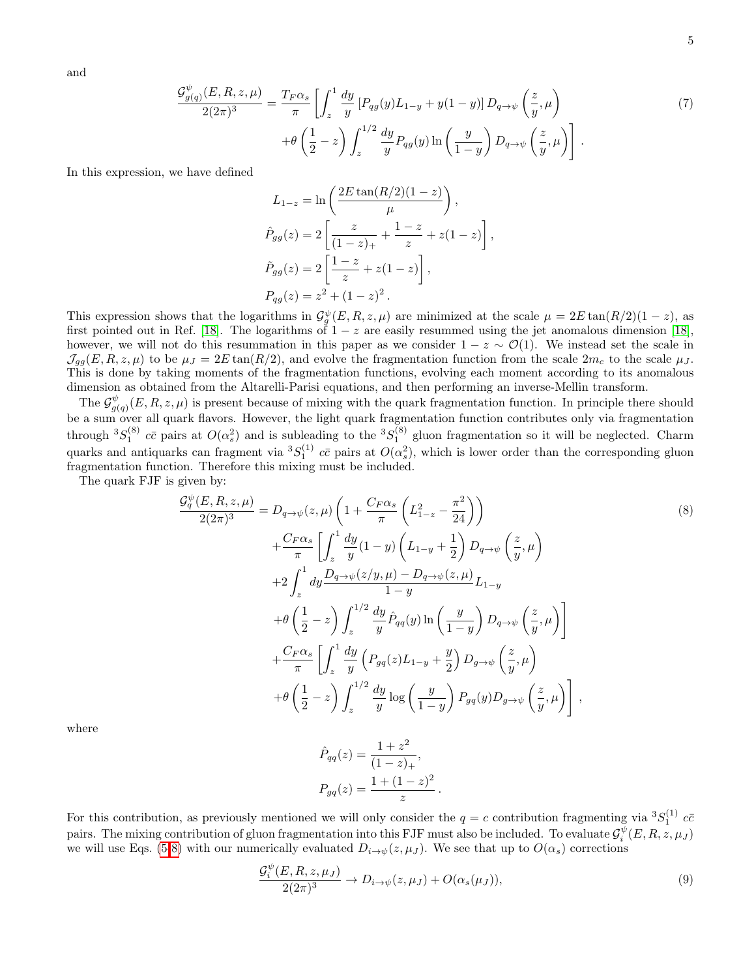and

$$
\frac{\mathcal{G}_{g(q)}^{\psi}(E,R,z,\mu)}{2(2\pi)^3} = \frac{T_F \alpha_s}{\pi} \left[ \int_z^1 \frac{dy}{y} \left[ P_{qg}(y) L_{1-y} + y(1-y) \right] D_{q \to \psi} \left( \frac{z}{y}, \mu \right) \right. \\
\left. + \theta \left( \frac{1}{2} - z \right) \int_z^{1/2} \frac{dy}{y} P_{qg}(y) \ln \left( \frac{y}{1-y} \right) D_{q \to \psi} \left( \frac{z}{y}, \mu \right) \right].
$$
\n(7)

In this expression, we have defined

<span id="page-4-0"></span>
$$
L_{1-z} = \ln\left(\frac{2E\tan(R/2)(1-z)}{\mu}\right),
$$
  
\n
$$
\hat{P}_{gg}(z) = 2\left[\frac{z}{(1-z)_{+}} + \frac{1-z}{z} + z(1-z)\right],
$$
  
\n
$$
\tilde{P}_{gg}(z) = 2\left[\frac{1-z}{z} + z(1-z)\right],
$$
  
\n
$$
P_{gg}(z) = z^{2} + (1-z)^{2}.
$$

This expression shows that the logarithms in  $\mathcal{G}_g^{\psi}(E, R, z, \mu)$  are minimized at the scale  $\mu = 2E \tan(R/2)(1-z)$ , as first pointed out in Ref. [\[18\]](#page-12-23). The logarithms of  $1-z$  are easily resummed using the jet anomalous dimension [18], however, we will not do this resummation in this paper as we consider  $1 - z \sim \mathcal{O}(1)$ . We instead set the scale in  $\mathcal{J}_{q}(\overline{E}, R, z, \mu)$  to be  $\mu_J = 2E \tan(R/2)$ , and evolve the fragmentation function from the scale  $2m_c$  to the scale  $\mu_J$ . This is done by taking moments of the fragmentation functions, evolving each moment according to its anomalous dimension as obtained from the Altarelli-Parisi equations, and then performing an inverse-Mellin transform.

The  $\mathcal{G}^{\psi}_{ab}$  $_{g(q)}^{\psi}(E, R, z, \mu)$  is present because of mixing with the quark fragmentation function. In principle there should be a sum over all quark flavors. However, the light quark fragmentation function contributes only via fragmentation through  ${}^3S_1^{(8)}$   $c\bar{c}$  pairs at  $O(\alpha_s^2)$  and is subleading to the  ${}^3S_1^{(8)}$  gluon fragmentation so it will be neglected. Charm quarks and antiquarks can fragment via  ${}^3S_1^{(1)}$   $c\bar{c}$  pairs at  $O(\alpha_s^2)$ , which is lower order than the corresponding gluon fragmentation function. Therefore this mixing must be included.

The quark FJF is given by:

$$
\frac{\mathcal{G}_{q}^{\psi}(E,R,z,\mu)}{2(2\pi)^{3}} = D_{q\to\psi}(z,\mu) \left( 1 + \frac{C_{F}\alpha_{s}}{\pi} \left( L_{1-z}^{2} - \frac{\pi^{2}}{24} \right) \right)
$$
\n
$$
+ \frac{C_{F}\alpha_{s}}{\pi} \left[ \int_{z}^{1} \frac{dy}{y} (1-y) \left( L_{1-y} + \frac{1}{2} \right) D_{q\to\psi} \left( \frac{z}{y}, \mu \right) \right]
$$
\n
$$
+ 2 \int_{z}^{1} dy \frac{D_{q\to\psi}(z/y,\mu) - D_{q\to\psi}(z,\mu)}{1-y} L_{1-y}
$$
\n
$$
+ \theta \left( \frac{1}{2} - z \right) \int_{z}^{1/2} \frac{dy}{y} \hat{P}_{qq}(y) \ln \left( \frac{y}{1-y} \right) D_{q\to\psi} \left( \frac{z}{y}, \mu \right) \right]
$$
\n
$$
+ \frac{C_{F}\alpha_{s}}{\pi} \left[ \int_{z}^{1} \frac{dy}{y} \left( P_{gq}(z)L_{1-y} + \frac{y}{2} \right) D_{g\to\psi} \left( \frac{z}{y}, \mu \right) \right]
$$
\n
$$
+ \theta \left( \frac{1}{2} - z \right) \int_{z}^{1/2} \frac{dy}{y} \log \left( \frac{y}{1-y} \right) P_{gq}(y) D_{g\to\psi} \left( \frac{z}{y}, \mu \right) \right],
$$
\n(8)

.

where

$$
\hat{P}_{qq}(z) = \frac{1+z^2}{(1-z)_+},
$$

$$
P_{gq}(z) = \frac{1+(1-z)^2}{z}
$$

For this contribution, as previously mentioned we will only consider the  $q = c$  contribution fragmenting via  ${}^{3}S_{1}^{(1)}$   $c\bar{c}$ pairs. The mixing contribution of gluon fragmentation into this FJF must also be included. To evaluate  $\mathcal{G}_i^{\psi}(E,R,z,\mu_J)$ we will use Eqs. [\(5-](#page-3-0)[8\)](#page-4-0) with our numerically evaluated  $D_{i\to\psi}(z,\mu_J)$ . We see that up to  $O(\alpha_s)$  corrections

$$
\frac{\mathcal{G}_i^{\psi}(E, R, z, \mu_J)}{2(2\pi)^3} \to D_{i \to \psi}(z, \mu_J) + O(\alpha_s(\mu_J)),\tag{9}
$$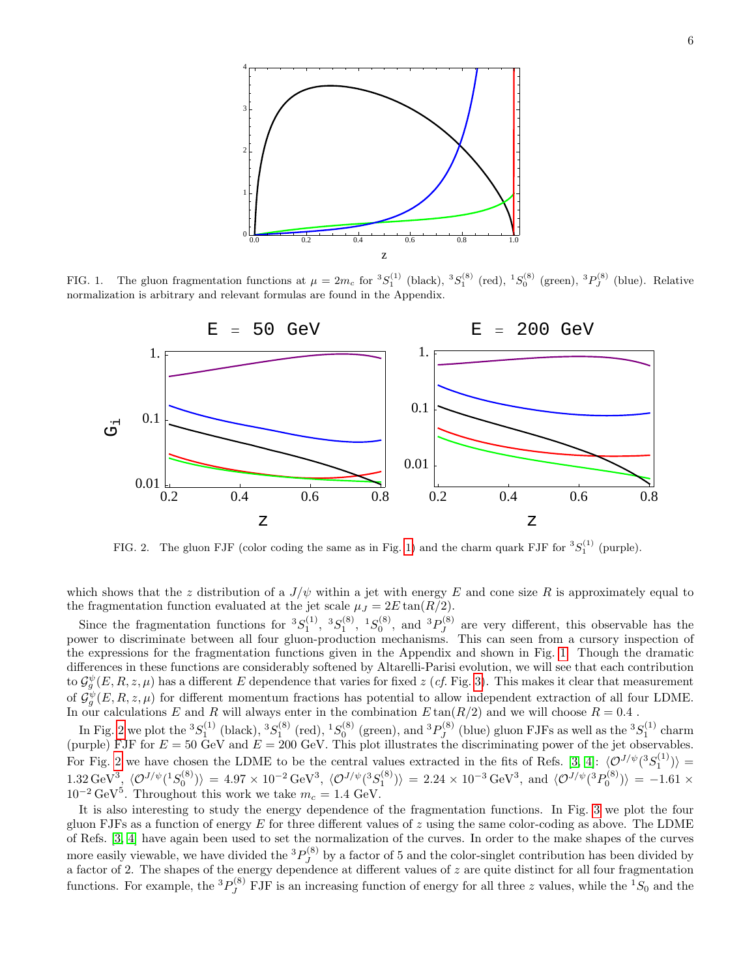

FIG. 1. The gluon fragmentation functions at  $\mu = 2m_c$  for  ${}^3S_1^{(1)}$  (black),  ${}^3S_1^{(8)}$  (red),  ${}^1S_0^{(8)}$  (green),  ${}^3P_J^{(8)}$  (blue). Relative normalization is arbitrary and relevant formulas are found in the Appendix.

<span id="page-5-0"></span>

<span id="page-5-1"></span>FIG. 2. The gluon FJF (color coding the same as in Fig. [1\)](#page-5-0) and the charm quark FJF for  ${}^{3}S_{1}^{(1)}$  (purple).

which shows that the z distribution of a  $J/\psi$  within a jet with energy E and cone size R is approximately equal to the fragmentation function evaluated at the jet scale  $\mu_J = 2E \tan(R/2)$ .

Since the fragmentation functions for  ${}^{3}S_{1}^{(1)}$ ,  ${}^{3}S_{1}^{(8)}$ ,  ${}^{1}S_{0}^{(8)}$ , and  ${}^{3}P_{J}^{(8)}$  $J_J^{(8)}$  are very different, this observable has the power to discriminate between all four gluon-production mechanisms. This can seen from a cursory inspection of the expressions for the fragmentation functions given in the Appendix and shown in Fig. [1.](#page-5-0) Though the dramatic differences in these functions are considerably softened by Altarelli-Parisi evolution, we will see that each contribution to  $\mathcal{G}_g^{\psi}(E, R, z, \mu)$  has a different E dependence that varies for fixed  $z$  (*cf.* Fig. [3\)](#page-6-0). This makes it clear that measurement of  $\mathcal{G}_g^{\psi}(E, R, z, \mu)$  for different momentum fractions has potential to allow independent extraction of all four LDME. In our calculations  $E$  and  $R$  will always enter in the combination  $E \tan(R/2)$  and we will choose  $R = 0.4$ .

In Fig. [2](#page-5-1) we plot the  ${}^{3}S_{1}^{(1)}$  (black),  ${}^{3}S_{1}^{(8)}$  (red),  ${}^{1}S_{0}^{(8)}$  (green), and  ${}^{3}P_{J}^{(8)}$  $J_J^{(8)}$  (blue) gluon FJFs as well as the  ${}^3S_1^{(1)}$  charm (purple) FJF for  $E = 50$  GeV and  $E = 200$  GeV. This plot illustrates the discriminating power of the jet observables. For Fig. [2](#page-5-1) we have chosen the LDME to be the central values extracted in the fits of Refs. [\[3,](#page-12-2) [4\]](#page-12-3):  $\langle \mathcal{O}^{J/\psi}({}^3S_1^{(1)}) \rangle =$  $1.32 \,\text{GeV}^3$ <sub>2</sub>  $\langle \mathcal{O}^{J/\psi}(^1S_0^{(8)}) \rangle = 4.97 \times 10^{-2} \,\text{GeV}^3$ ,  $\langle \mathcal{O}^{J/\psi}(^3S_1^{(8)}) \rangle = 2.24 \times 10^{-3} \,\text{GeV}^3$ , and  $\langle \mathcal{O}^{J/\psi}(^3P_0^{(8)}) \rangle = -1.61 \times 10^{-3} \,\text{GeV}^3$  $10^{-2} \text{ GeV}^5$ . Throughout this work we take  $m_c = 1.4 \text{ GeV}$ .

It is also interesting to study the energy dependence of the fragmentation functions. In Fig. [3](#page-6-0) we plot the four gluon FJFs as a function of energy  $E$  for three different values of  $z$  using the same color-coding as above. The LDME of Refs. [\[3,](#page-12-2) [4\]](#page-12-3) have again been used to set the normalization of the curves. In order to the make shapes of the curves more easily viewable, we have divided the  ${}^{3}P_{I}^{(8)}$  $J_J^{(0)}$  by a factor of 5 and the color-singlet contribution has been divided by a factor of 2. The shapes of the energy dependence at different values of  $z$  are quite distinct for all four fragmentation functions. For example, the  ${}^{3}P_{J}^{(8)}$  FJF is an increasing function of energy for all three z values, while the  ${}^{1}S_{0}$  and the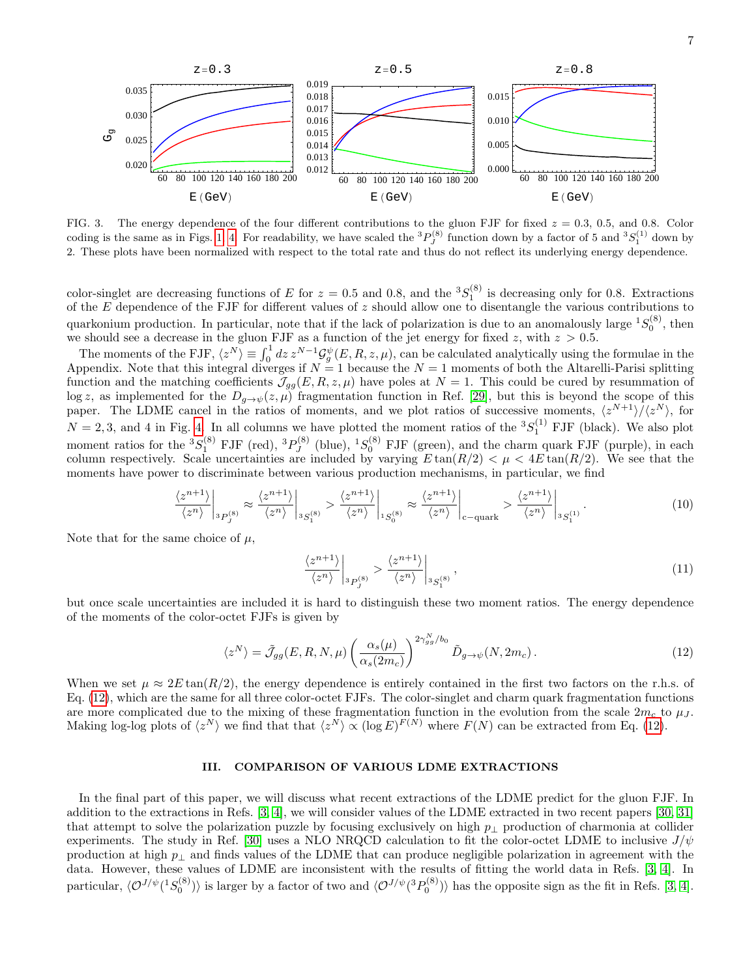

<span id="page-6-0"></span>FIG. 3. The energy dependence of the four different contributions to the gluon FJF for fixed  $z = 0.3, 0.5,$  and 0.8. Color coding is the same as in Figs. [1,](#page-5-0) [4.](#page-7-0) For readability, we have scaled the  ${}^{3}P_{J}^{(8)}$  function down by a factor of 5 and  ${}^{3}S_{1}^{(1)}$  down by 2. These plots have been normalized with respect to the total rate and thus do not reflect its underlying energy dependence.

color-singlet are decreasing functions of E for  $z = 0.5$  and 0.8, and the  ${}^{3}S_{1}^{(8)}$  is decreasing only for 0.8. Extractions of the  $E$  dependence of the FJF for different values of  $z$  should allow one to disentangle the various contributions to quarkonium production. In particular, note that if the lack of polarization is due to an anomalously large  ${}^{1}S_0^{(8)}$ , then we should see a decrease in the gluon FJF as a function of the jet energy for fixed z, with  $z > 0.5$ .

The moments of the FJF,  $\langle z^N \rangle \equiv \int_0^1 dz \, z^{N-1} \mathcal{G}_g^{\psi}(E,R,z,\mu)$ , can be calculated analytically using the formulae in the Appendix. Note that this integral diverges if  $N = 1$  because the  $N = 1$  moments of both the Altarelli-Parisi splitting function and the matching coefficients  $\mathcal{J}_{qq}(E, R, z, \mu)$  have poles at  $N = 1$ . This could be cured by resummation of log z, as implemented for the  $D_{g\to\psi}(z,\mu)$  fragmentation function in Ref. [\[29\]](#page-12-24), but this is beyond the scope of this paper. The LDME cancel in the ratios of moments, and we plot ratios of successive moments,  $\langle z^{N+1} \rangle / \langle z^N \rangle$ , for  $N = 2, 3$ , and 4 in Fig. [4.](#page-7-0) In all columns we have plotted the moment ratios of the  ${}^{3}S_{1}^{(1)}$  FJF (black). We also plot moment ratios for the  ${}^{3}S_{1}^{(8)}$  FJF (red),  ${}^{3}P_{J}^{(8)}$  $J_J^{(8)}$  (blue),  ${}^{1}S_0^{(8)}$  FJF (green), and the charm quark FJF (purple), in each column respectively. Scale uncertainties are included by varying  $E \tan(R/2) < \mu < 4E \tan(R/2)$ . We see that the moments have power to discriminate between various production mechanisms, in particular, we find

$$
\left. \frac{\langle z^{n+1} \rangle}{\langle z^n \rangle} \right|_{3P_J^{(8)}} \approx \left. \frac{\langle z^{n+1} \rangle}{\langle z^n \rangle} \right|_{3S_1^{(8)}} > \left. \frac{\langle z^{n+1} \rangle}{\langle z^n \rangle} \right|_{1S_0^{(8)}} \approx \left. \frac{\langle z^{n+1} \rangle}{\langle z^n \rangle} \right|_{c-\text{quark}} > \left. \frac{\langle z^{n+1} \rangle}{\langle z^n \rangle} \right|_{3S_1^{(1)}}. \tag{10}
$$

Note that for the same choice of  $\mu$ ,

$$
\left. \frac{\langle z^{n+1} \rangle}{\langle z^n \rangle} \right|_{^3P_J^{(8)}} > \left. \frac{\langle z^{n+1} \rangle}{\langle z^n \rangle} \right|_{^3S_1^{(8)}},\tag{11}
$$

but once scale uncertainties are included it is hard to distinguish these two moment ratios. The energy dependence of the moments of the color-octet FJFs is given by

<span id="page-6-1"></span>
$$
\langle z^N \rangle = \tilde{\mathcal{J}}_{gg}(E, R, N, \mu) \left( \frac{\alpha_s(\mu)}{\alpha_s(2m_c)} \right)^{2\gamma_{gg}^N/b_0} \tilde{D}_{g \to \psi}(N, 2m_c).
$$
 (12)

When we set  $\mu \approx 2E \tan(R/2)$ , the energy dependence is entirely contained in the first two factors on the r.h.s. of Eq. [\(12\)](#page-6-1), which are the same for all three color-octet FJFs. The color-singlet and charm quark fragmentation functions are more complicated due to the mixing of these fragmentation function in the evolution from the scale  $2m_c$  to  $\mu_J$ . Making log-log plots of  $\langle z^N \rangle$  we find that that  $\langle z^N \rangle \propto (\log E)^{F(N)}$  where  $F(N)$  can be extracted from Eq. [\(12\)](#page-6-1).

# III. COMPARISON OF VARIOUS LDME EXTRACTIONS

In the final part of this paper, we will discuss what recent extractions of the LDME predict for the gluon FJF. In addition to the extractions in Refs. [\[3,](#page-12-2) [4\]](#page-12-3), we will consider values of the LDME extracted in two recent papers [\[30,](#page-12-25) [31\]](#page-12-26) that attempt to solve the polarization puzzle by focusing exclusively on high  $p_{\perp}$  production of charmonia at collider experiments. The study in Ref. [\[30\]](#page-12-25) uses a NLO NRQCD calculation to fit the color-octet LDME to inclusive  $J/\psi$ production at high  $p_{\perp}$  and finds values of the LDME that can produce negligible polarization in agreement with the data. However, these values of LDME are inconsistent with the results of fitting the world data in Refs. [\[3,](#page-12-2) [4\]](#page-12-3). In particular,  $\langle \mathcal{O}^{J/\psi}(^1S_0^{(8)}) \rangle$  is larger by a factor of two and  $\langle \mathcal{O}^{J/\psi}(^3P_0^{(8)}) \rangle$  has the opposite sign as the fit in Refs. [\[3,](#page-12-2) [4\]](#page-12-3).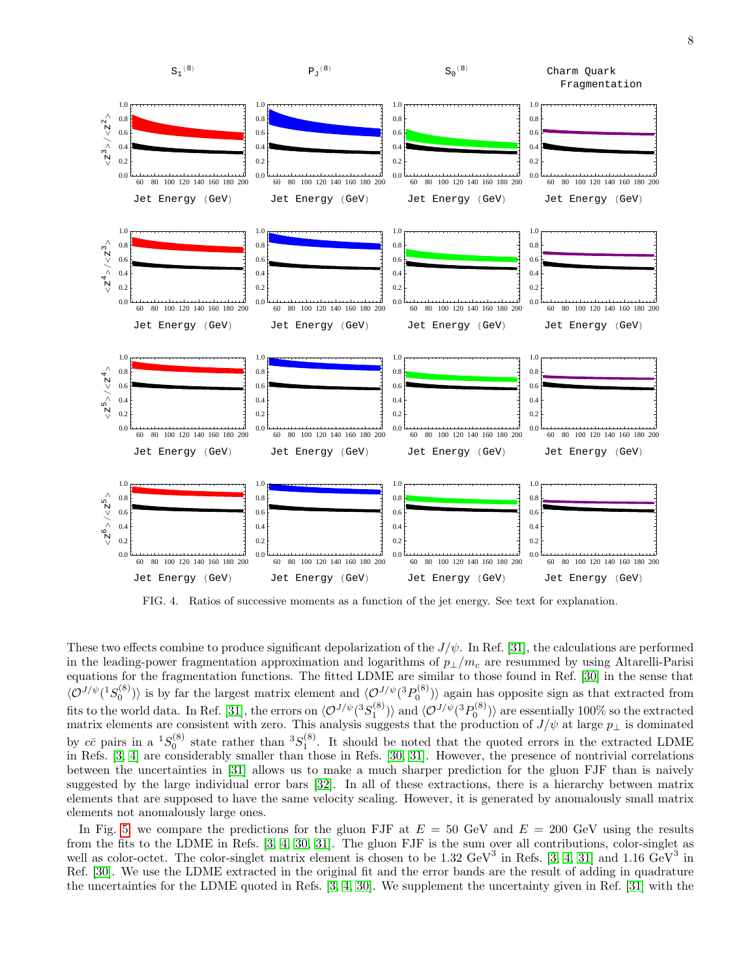

<span id="page-7-0"></span>FIG. 4. Ratios of successive moments as a function of the jet energy. See text for explanation.

These two effects combine to produce significant depolarization of the  $J/\psi$ . In Ref. [\[31\]](#page-12-26), the calculations are performed in the leading-power fragmentation approximation and logarithms of  $p_{\perp}/m_c$  are resummed by using Altarelli-Parisi equations for the fragmentation functions. The fitted LDME are similar to those found in Ref. [\[30\]](#page-12-25) in the sense that  $\langle \mathcal{O}^{J/\psi}(^1S_0^{(8)}) \rangle$  is by far the largest matrix element and  $\langle \mathcal{O}^{J/\psi}(^3P_0^{(8)}) \rangle$  again has opposite sign as that extracted from fits to the world data. In Ref. [\[31\]](#page-12-26), the errors on  $\langle \mathcal{O}^{J/\psi}(^3S_1^{(8)}) \rangle$  and  $\langle \mathcal{O}^{J/\psi}(^3P_0^{(8)}) \rangle$  are essentially 100% so the extracted matrix elements are consistent with zero. This analysis suggests that the production of  $J/\psi$  at large  $p_{\perp}$  is dominated by  $c\bar{c}$  pairs in a  ${}^{1}S_{0}^{(8)}$  state rather than  ${}^{3}S_{1}^{(8)}$ . It should be noted that the quoted errors in the extracted LDME in Refs. [\[3,](#page-12-2) [4\]](#page-12-3) are considerably smaller than those in Refs. [\[30,](#page-12-25) [31\]](#page-12-26). However, the presence of nontrivial correlations between the uncertainties in [\[31\]](#page-12-26) allows us to make a much sharper prediction for the gluon FJF than is naively suggested by the large individual error bars [\[32\]](#page-12-27). In all of these extractions, there is a hierarchy between matrix elements that are supposed to have the same velocity scaling. However, it is generated by anomalously small matrix elements not anomalously large ones.

In Fig. [5,](#page-8-0) we compare the predictions for the gluon FJF at  $E = 50$  GeV and  $E = 200$  GeV using the results from the fits to the LDME in Refs. [\[3,](#page-12-2) [4,](#page-12-3) [30,](#page-12-25) [31\]](#page-12-26). The gluon FJF is the sum over all contributions, color-singlet as well as color-octet. The color-singlet matrix element is chosen to be 1.32 GeV<sup>3</sup> in Refs. [\[3,](#page-12-2) [4,](#page-12-3) [31\]](#page-12-26) and 1.16 GeV<sup>3</sup> in Ref. [\[30\]](#page-12-25). We use the LDME extracted in the original fit and the error bands are the result of adding in quadrature the uncertainties for the LDME quoted in Refs. [\[3,](#page-12-2) [4,](#page-12-3) [30\]](#page-12-25). We supplement the uncertainty given in Ref. [\[31\]](#page-12-26) with the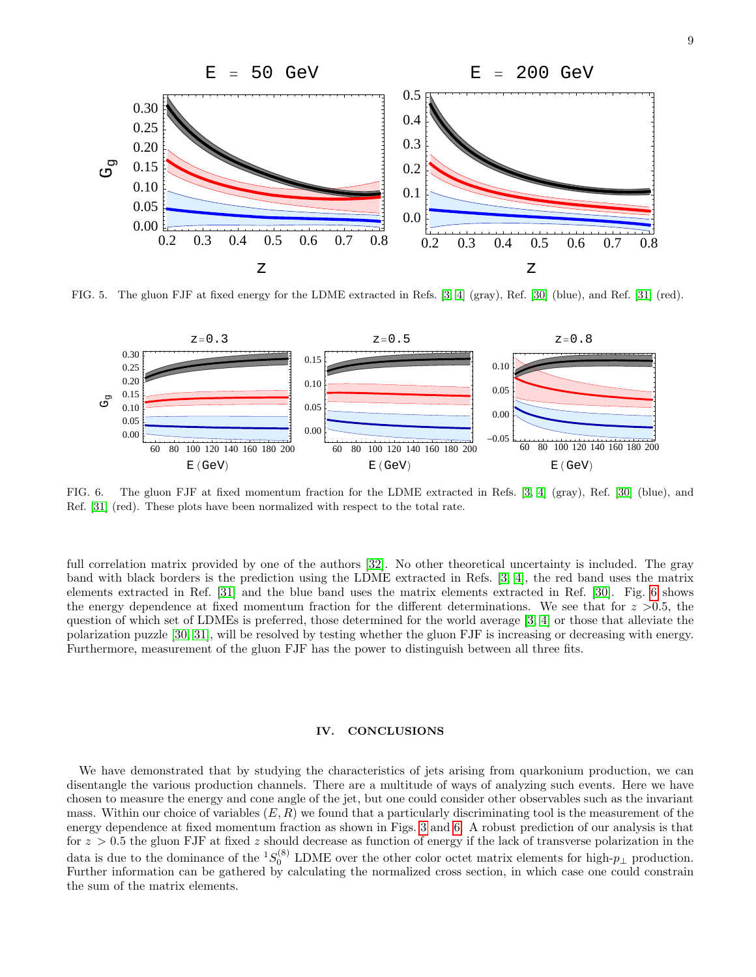

<span id="page-8-0"></span>FIG. 5. The gluon FJF at fixed energy for the LDME extracted in Refs. [\[3,](#page-12-2) [4\]](#page-12-3) (gray), Ref. [\[30\]](#page-12-25) (blue), and Ref. [\[31\]](#page-12-26) (red).



<span id="page-8-1"></span>FIG. 6. The gluon FJF at fixed momentum fraction for the LDME extracted in Refs. [\[3,](#page-12-2) [4\]](#page-12-3) (gray), Ref. [\[30\]](#page-12-25) (blue), and Ref. [\[31\]](#page-12-26) (red). These plots have been normalized with respect to the total rate.

full correlation matrix provided by one of the authors [\[32\]](#page-12-27). No other theoretical uncertainty is included. The gray band with black borders is the prediction using the LDME extracted in Refs. [\[3,](#page-12-2) [4\]](#page-12-3), the red band uses the matrix elements extracted in Ref. [\[31\]](#page-12-26) and the blue band uses the matrix elements extracted in Ref. [\[30\]](#page-12-25). Fig. [6](#page-8-1) shows the energy dependence at fixed momentum fraction for the different determinations. We see that for  $z > 0.5$ , the question of which set of LDMEs is preferred, those determined for the world average [\[3,](#page-12-2) [4\]](#page-12-3) or those that alleviate the polarization puzzle [\[30,](#page-12-25) [31\]](#page-12-26), will be resolved by testing whether the gluon FJF is increasing or decreasing with energy. Furthermore, measurement of the gluon FJF has the power to distinguish between all three fits.

# IV. CONCLUSIONS

We have demonstrated that by studying the characteristics of jets arising from quarkonium production, we can disentangle the various production channels. There are a multitude of ways of analyzing such events. Here we have chosen to measure the energy and cone angle of the jet, but one could consider other observables such as the invariant mass. Within our choice of variables  $(E, R)$  we found that a particularly discriminating tool is the measurement of the energy dependence at fixed momentum fraction as shown in Figs. [3](#page-6-0) and [6.](#page-8-1) A robust prediction of our analysis is that for  $z > 0.5$  the gluon FJF at fixed z should decrease as function of energy if the lack of transverse polarization in the data is due to the dominance of the <sup>1</sup>S<sub>0</sub><sup>(8)</sup> LDME over the other color octet matrix elements for high- $p_{\perp}$  production. Further information can be gathered by calculating the normalized cross section, in which case one could constrain the sum of the matrix elements.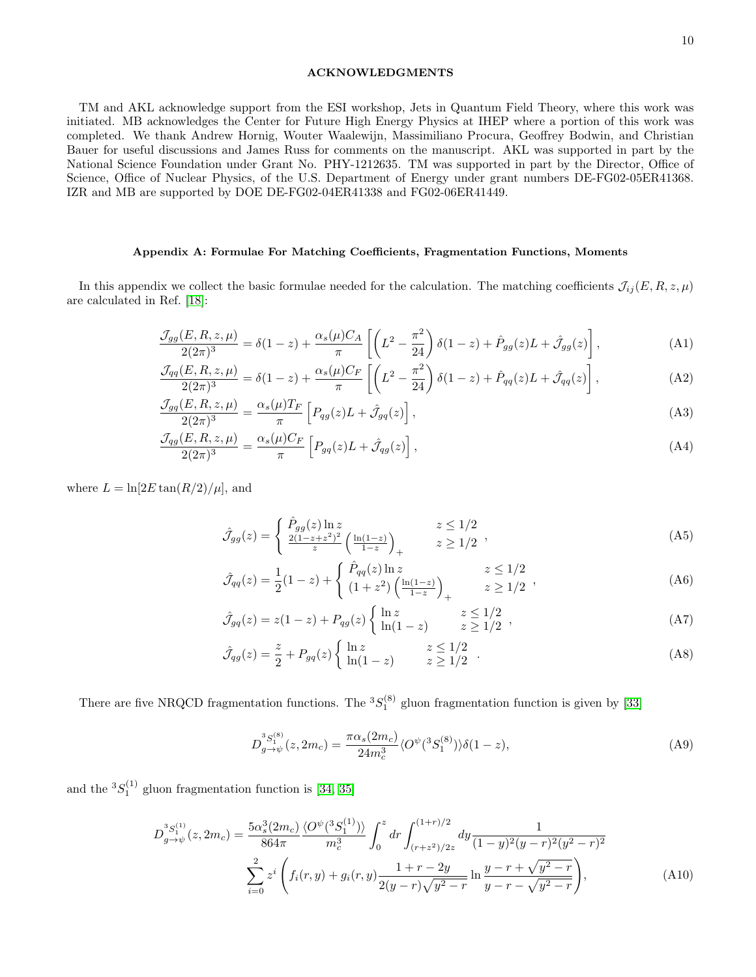# ACKNOWLEDGMENTS

TM and AKL acknowledge support from the ESI workshop, Jets in Quantum Field Theory, where this work was initiated. MB acknowledges the Center for Future High Energy Physics at IHEP where a portion of this work was completed. We thank Andrew Hornig, Wouter Waalewijn, Massimiliano Procura, Geoffrey Bodwin, and Christian Bauer for useful discussions and James Russ for comments on the manuscript. AKL was supported in part by the National Science Foundation under Grant No. PHY-1212635. TM was supported in part by the Director, Office of Science, Office of Nuclear Physics, of the U.S. Department of Energy under grant numbers DE-FG02-05ER41368. IZR and MB are supported by DOE DE-FG02-04ER41338 and FG02-06ER41449.

# Appendix A: Formulae For Matching Coefficients, Fragmentation Functions, Moments

In this appendix we collect the basic formulae needed for the calculation. The matching coefficients  $\mathcal{J}_{ij}(E, R, z, \mu)$ are calculated in Ref. [\[18\]](#page-12-23):

$$
\frac{\mathcal{J}_{gg}(E, R, z, \mu)}{2(2\pi)^3} = \delta(1-z) + \frac{\alpha_s(\mu)C_A}{\pi} \left[ \left( L^2 - \frac{\pi^2}{24} \right) \delta(1-z) + \hat{P}_{gg}(z)L + \hat{\mathcal{J}}_{gg}(z) \right],\tag{A1}
$$

$$
\frac{\mathcal{J}_{qq}(E, R, z, \mu)}{2(2\pi)^3} = \delta(1-z) + \frac{\alpha_s(\mu)C_F}{\pi} \left[ \left( L^2 - \frac{\pi^2}{24} \right) \delta(1-z) + \hat{P}_{qq}(z)L + \hat{\mathcal{J}}_{qq}(z) \right],\tag{A2}
$$

$$
\frac{\mathcal{J}_{gq}(E,R,z,\mu)}{2(2\pi)^3} = \frac{\alpha_s(\mu)T_F}{\pi} \left[ P_{qg}(z)L + \hat{\mathcal{J}}_{gq}(z) \right],\tag{A3}
$$

$$
\frac{\mathcal{J}_{qg}(E, R, z, \mu)}{2(2\pi)^3} = \frac{\alpha_s(\mu)C_F}{\pi} \left[ P_{gq}(z)L + \hat{\mathcal{J}}_{qg}(z) \right],\tag{A4}
$$

where  $L = \ln[2E \tan(R/2)/\mu]$ , and

$$
\hat{\mathcal{J}}_{gg}(z) = \begin{cases} \hat{P}_{gg}(z) \ln z & z \le 1/2\\ \frac{2(1-z+z^2)^2}{z} \left(\frac{\ln(1-z)}{1-z}\right)_+ & z \ge 1/2 \end{cases},
$$
\n(A5)

$$
\hat{\mathcal{J}}_{qq}(z) = \frac{1}{2}(1-z) + \begin{cases} \hat{P}_{qq}(z) \ln z & z \le 1/2\\ (1+z^2) \left(\frac{\ln(1-z)}{1-z}\right)_+ & z \ge 1/2 \end{cases},
$$
\n(A6)

$$
\hat{\mathcal{J}}_{gq}(z) = z(1-z) + P_{qg}(z) \begin{cases} \ln z & z \le 1/2 \\ \ln(1-z) & z \ge 1/2 \end{cases},
$$
 (A7)

$$
\hat{\mathcal{J}}_{qg}(z) = \frac{z}{2} + P_{gq}(z) \begin{cases} \ln z & z \le 1/2 \\ \ln(1-z) & z \ge 1/2 \end{cases} . \tag{A8}
$$

There are five NRQCD fragmentation functions. The  ${}^{3}S_{1}^{(8)}$  gluon fragmentation function is given by [\[33\]](#page-12-28)

$$
D_{g \to \psi}^{3S_1^{(8)}}(z, 2m_c) = \frac{\pi \alpha_s(2m_c)}{24m_c^3} \langle O^{\psi}(^3S_1^{(8)}) \rangle \delta(1-z), \tag{A9}
$$

and the  ${}^{3}S_{1}^{(1)}$  gluon fragmentation function is [\[34,](#page-12-29) [35\]](#page-13-0)

$$
D_{g \to \psi}^{3S_{1}^{(1)}}(z, 2m_{c}) = \frac{5\alpha_{s}^{3}(2m_{c})}{864\pi} \frac{\langle O^{\psi}(^{3}S_{1}^{(1)})\rangle}{m_{c}^{3}} \int_{0}^{z} dr \int_{(r+z^{2})/2z}^{(1+r)/2} dy \frac{1}{(1-y)^{2}(y-r)^{2}(y^{2}-r)^{2}} \sum_{i=0}^{2} z^{i} \left(f_{i}(r, y) + g_{i}(r, y) \frac{1+r-2y}{2(y-r)\sqrt{y^{2}-r}} \ln \frac{y-r+\sqrt{y^{2}-r}}{y-r-\sqrt{y^{2}-r}}\right), \tag{A10}
$$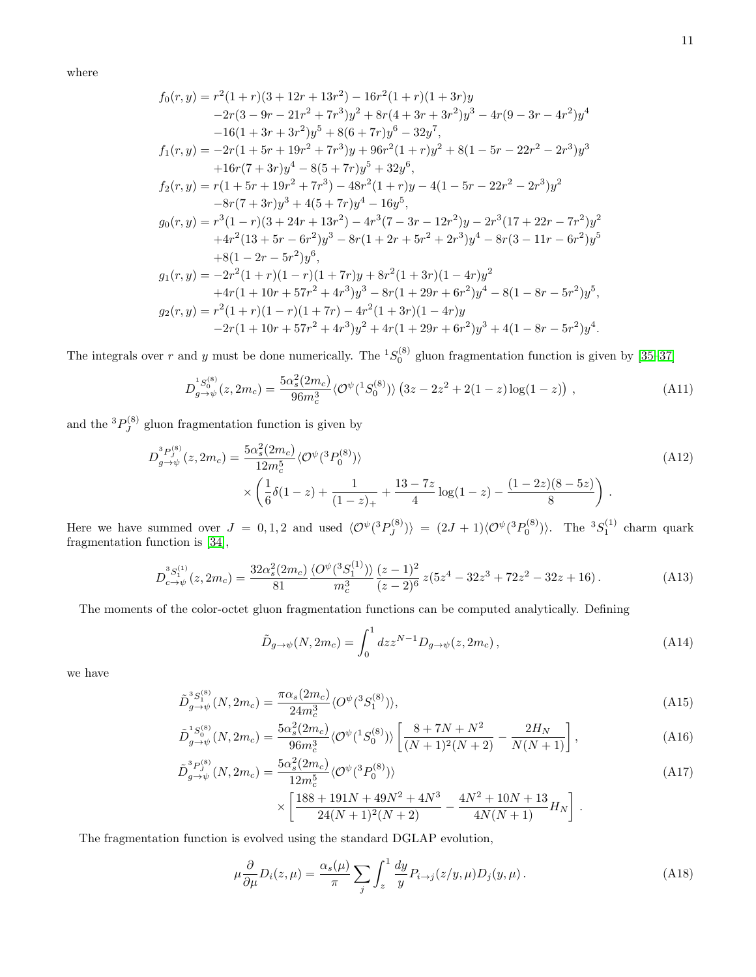where

$$
f_0(r,y) = r^2(1+r)(3+12r+13r^2) - 16r^2(1+r)(1+3r)y
$$
  
\n
$$
-2r(3-9r-21r^2+7r^3)y^2 + 8r(4+3r+3r^2)y^3 - 4r(9-3r-4r^2)y^4
$$
  
\n
$$
-16(1+3r+3r^2)y^5 + 8(6+7r)y^6 - 32y^7,
$$
  
\n
$$
f_1(r,y) = -2r(1+5r+19r^2+7r^3)y + 96r^2(1+r)y^2 + 8(1-5r-22r^2-2r^3)y^3
$$
  
\n
$$
+16r(7+3r)y^4 - 8(5+7r)y^5 + 32y^6,
$$
  
\n
$$
f_2(r,y) = r(1+5r+19r^2+7r^3) - 48r^2(1+r)y - 4(1-5r-22r^2-2r^3)y^2
$$
  
\n
$$
-8r(7+3r)y^3 + 4(5+7r)y^4 - 16y^5,
$$
  
\n
$$
g_0(r,y) = r^3(1-r)(3+24r+13r^2) - 4r^3(7-3r-12r^2)y - 2r^3(17+22r-7r^2)y^2
$$
  
\n
$$
+4r^2(13+5r-6r^2)y^3 - 8r(1+2r+5r^2+2r^3)y^4 - 8r(3-11r-6r^2)y^5
$$
  
\n
$$
+8(1-2r-5r^2)y^6,
$$
  
\n
$$
g_1(r,y) = -2r^2(1+r)(1-r)(1+7r)y + 8r^2(1+3r)(1-4r)y^2
$$
  
\n
$$
+4r(1+10r+57r^2+4r^3)y^3 - 8r(1+29r+6r^2)y^4 - 8(1-8r-5r^2)y^5,
$$
  
\n
$$
g_2(r,y) = r^2(1+r)(1-r)(1+7r) - 4r^2(1+3r)(1-4r)y
$$
  
\n
$$
-2r(1+10r+57r^
$$

The integrals over r and y must be done numerically. The  ${}^{1}S_0^{(8)}$  gluon fragmentation function is given by [\[35](#page-13-0)[–37\]](#page-13-1)

$$
D_{g \to \psi}^{1S_0^{(8)}}(z, 2m_c) = \frac{5\alpha_s^2(2m_c)}{96m_c^3} \langle \mathcal{O}^{\psi}(^1S_0^{(8)}) \rangle \left(3z - 2z^2 + 2(1-z)\log(1-z)\right) ,\tag{A11}
$$

and the  ${}^3P_J^{(8)}$  $\int_{J}^{(0)}$  gluon fragmentation function is given by

$$
D_{g \to \psi}^{3} (z, 2m_c) = \frac{5\alpha_s^2 (2m_c)}{12m_c^5} \langle \mathcal{O}^{\psi}({}^3P_0^{(8)}) \rangle
$$
  
 
$$
\times \left(\frac{1}{6}\delta(1-z) + \frac{1}{(1-z)_+} + \frac{13 - 7z}{4}\log(1-z) - \frac{(1-2z)(8-5z)}{8}\right).
$$
 (A12)

Here we have summed over  $J = 0, 1, 2$  and used  $\langle \mathcal{O}^{\psi}({}^3P_I^{(8)}) \rangle$  $\langle J^{(8)}_J \rangle \rangle = (2J+1)\langle \mathcal{O}^{\psi}(^3P_0^{(8)}) \rangle$ . The  ${}^3S_1^{(1)}$  charm quark fragmentation function is [\[34\]](#page-12-29),

$$
D_{c \to \psi}^{3S_1^{(1)}}(z, 2m_c) = \frac{32\alpha_s^2 (2m_c)}{81} \frac{\langle O^{\psi}(^3S_1^{(1)}) \rangle}{m_c^3} \frac{(z-1)^2}{(z-2)^6} z(5z^4 - 32z^3 + 72z^2 - 32z + 16). \tag{A13}
$$

The moments of the color-octet gluon fragmentation functions can be computed analytically. Defining

$$
\tilde{D}_{g \to \psi}(N, 2m_c) = \int_0^1 dz z^{N-1} D_{g \to \psi}(z, 2m_c), \qquad (A14)
$$

we have

$$
\tilde{D}_{g \to \psi}^{3S_1^{(8)}}(N, 2m_c) = \frac{\pi \alpha_s (2m_c)}{24m_c^3} \langle O^{\psi}({}^3S_1^{(8)}) \rangle, \tag{A15}
$$

$$
\tilde{D}_{g \to \psi}^{1 S_0^{(8)}}(N, 2m_c) = \frac{5\alpha_s^2 (2m_c)}{96m_c^3} \langle \mathcal{O}^{\psi}(^1 S_0^{(8)}) \rangle \left[ \frac{8 + 7N + N^2}{(N+1)^2 (N+2)} - \frac{2H_N}{N(N+1)} \right],\tag{A16}
$$

$$
\tilde{D}_{g \to \psi}^{3} (N, 2m_c) = \frac{5\alpha_s^2 (2m_c)}{12m_c^5} \langle \mathcal{O}^{\psi} ({}^3P_0^{(8)}) \rangle \tag{A17}
$$

$$
\times \left[ \frac{188 + 191N + 49N^2 + 4N^3}{24(N+1)^2(N+2)} - \frac{4N^2 + 10N + 13}{4N(N+1)} H_N \right].
$$

The fragmentation function is evolved using the standard DGLAP evolution,

$$
\mu \frac{\partial}{\partial \mu} D_i(z, \mu) = \frac{\alpha_s(\mu)}{\pi} \sum_j \int_z^1 \frac{dy}{y} P_{i \to j}(z/y, \mu) D_j(y, \mu).
$$
 (A18)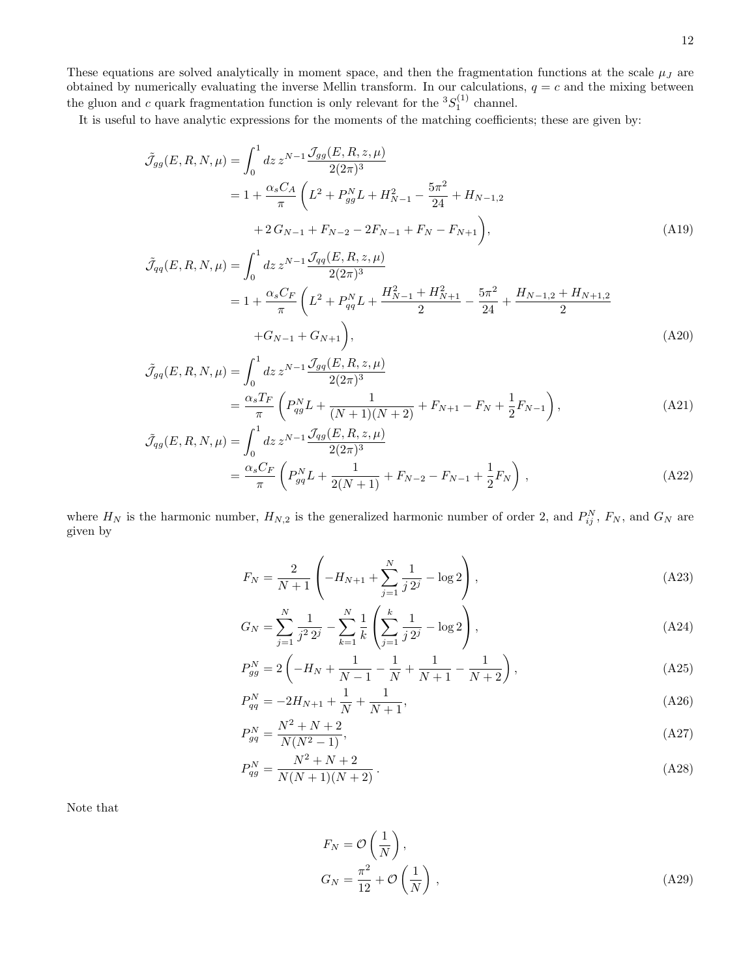These equations are solved analytically in moment space, and then the fragmentation functions at the scale  $\mu_J$  are obtained by numerically evaluating the inverse Mellin transform. In our calculations,  $q = c$  and the mixing between the gluon and c quark fragmentation function is only relevant for the  ${}^{3}S_{1}^{(1)}$  channel.

It is useful to have analytic expressions for the moments of the matching coefficients; these are given by:

$$
\tilde{\mathcal{J}}_{gg}(E, R, N, \mu) = \int_0^1 dz \, z^{N-1} \frac{\mathcal{J}_{gg}(E, R, z, \mu)}{2(2\pi)^3}
$$
  
=  $1 + \frac{\alpha_s C_A}{\pi} \left( L^2 + P_{gg}^N L + H_{N-1}^2 - \frac{5\pi^2}{24} + H_{N-1,2} + 2G_{N-1} + F_{N-2} - 2F_{N-1} + F_N - F_{N+1} \right),$  (A19)

$$
\tilde{\mathcal{J}}_{qq}(E, R, N, \mu) = \int_0^1 dz \, z^{N-1} \frac{\mathcal{J}_{qq}(E, R, z, \mu)}{2(2\pi)^3}
$$
\n
$$
= 1 + \frac{\alpha_s C_F}{\pi} \left( L^2 + P_{qq}^N L + \frac{H_{N-1}^2 + H_{N+1}^2}{2} - \frac{5\pi^2}{24} + \frac{H_{N-1,2} + H_{N+1,2}}{2} + G_{N-1} + G_{N+1} \right),
$$
\n(A20)

$$
\tilde{\mathcal{J}}_{gq}(E, R, N, \mu) = \int_0^1 dz \, z^{N-1} \frac{\mathcal{J}_{gq}(E, R, z, \mu)}{2(2\pi)^3}
$$
\n
$$
= \frac{\alpha_s T_F}{\pi} \left( P_{qg}^N L + \frac{1}{(N+1)(N+2)} + F_{N+1} - F_N + \frac{1}{2} F_{N-1} \right),
$$
\n
$$
\tilde{\mathcal{J}}_{gg}(E, R, N, \mu) = \int_0^1 dz \, z^{N-1} \frac{\mathcal{J}_{gg}(E, R, z, \mu)}{2(2\pi)^3}.
$$
\n(A21)

$$
\begin{split} \dot{V}_{qg}(E, R, N, \mu) &= \int_0^1 dz \, z^{N-1} \frac{\mathcal{J}_{qg}(E, R, z, \mu)}{2(2\pi)^3} \\ &= \frac{\alpha_s C_F}{\pi} \left( P_{gq}^N L + \frac{1}{2(N+1)} + F_{N-2} - F_{N-1} + \frac{1}{2} F_N \right) \,, \end{split} \tag{A22}
$$

where  $H_N$  is the harmonic number,  $H_{N,2}$  is the generalized harmonic number of order 2, and  $P_{ij}^N$ ,  $F_N$ , and  $G_N$  are given by

$$
F_N = \frac{2}{N+1} \left( -H_{N+1} + \sum_{j=1}^{N} \frac{1}{j \, 2^j} - \log 2 \right),\tag{A23}
$$

$$
G_N = \sum_{j=1}^N \frac{1}{j^2 2^j} - \sum_{k=1}^N \frac{1}{k} \left( \sum_{j=1}^k \frac{1}{j 2^j} - \log 2 \right),\tag{A24}
$$

$$
P_{gg}^{N} = 2\left(-H_N + \frac{1}{N-1} - \frac{1}{N} + \frac{1}{N+1} - \frac{1}{N+2}\right),\tag{A25}
$$

$$
P_{qq}^N = -2H_{N+1} + \frac{1}{N} + \frac{1}{N+1},\tag{A26}
$$

$$
P_{gq}^{N} = \frac{N^2 + N + 2}{N(N^2 - 1)},
$$
\n(A27)

$$
P_{qg}^{N} = \frac{N^2 + N + 2}{N(N+1)(N+2)}.
$$
\n(A28)

Note that

$$
F_N = \mathcal{O}\left(\frac{1}{N}\right),
$$
  
\n
$$
G_N = \frac{\pi^2}{12} + \mathcal{O}\left(\frac{1}{N}\right),
$$
\n(A29)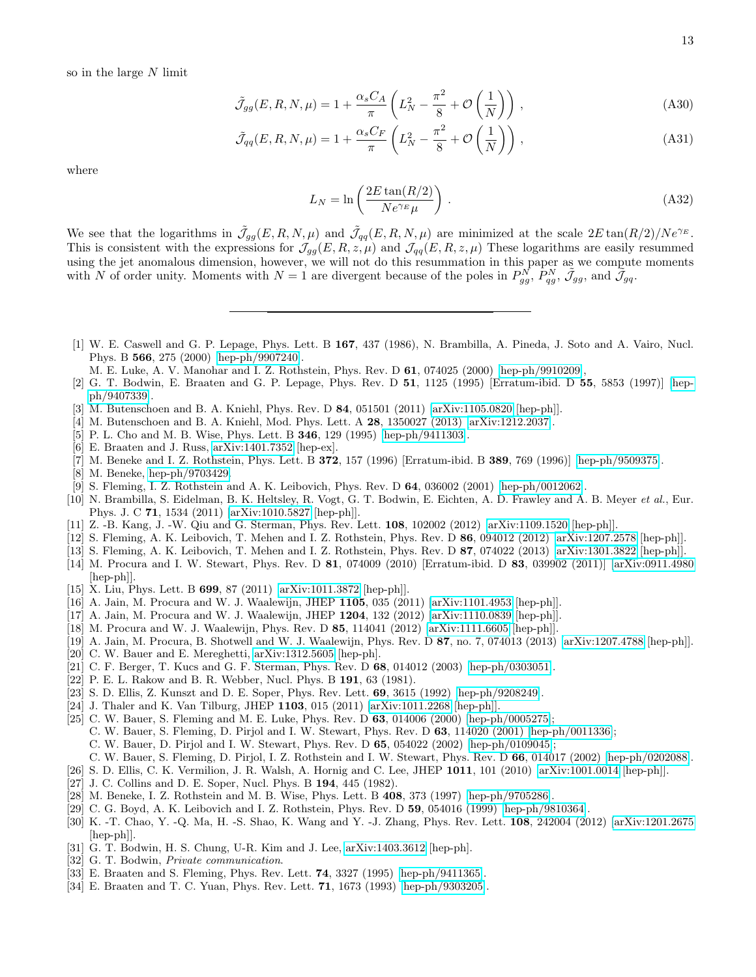$$
\tilde{\mathcal{J}}_{gg}(E, R, N, \mu) = 1 + \frac{\alpha_s C_A}{\pi} \left( L_N^2 - \frac{\pi^2}{8} + \mathcal{O}\left(\frac{1}{N}\right) \right), \tag{A30}
$$

$$
\tilde{\mathcal{J}}_{qq}(E, R, N, \mu) = 1 + \frac{\alpha_s C_F}{\pi} \left( L_N^2 - \frac{\pi^2}{8} + \mathcal{O}\left(\frac{1}{N}\right) \right), \tag{A31}
$$

where

$$
L_N = \ln\left(\frac{2E\tan(R/2)}{Ne^{\gamma_E}\mu}\right). \tag{A32}
$$

We see that the logarithms in  $\tilde{\mathcal{J}}_{gg}(E, R, N, \mu)$  and  $\tilde{\mathcal{J}}_{qq}(E, R, N, \mu)$  are minimized at the scale  $2E \tan(R/2)/N e^{\gamma_E}$ . This is consistent with the expressions for  $\mathcal{J}_{gg}(E, R, z, \mu)$  and  $\mathcal{J}_{qq}(E, R, z, \mu)$  These logarithms are easily resummed using the jet anomalous dimension, however, we will not do this resummation in this paper as we compute moments with N of order unity. Moments with  $N=1$  are divergent because of the poles in  $P_{gg}^{N}$ ,  $P_{gg}^{N}$ ,  $\tilde{\mathcal{J}}_{gg}$ , and  $\tilde{\mathcal{J}}_{gg}$ .

- <span id="page-12-0"></span>[1] W. E. Caswell and G. P. Lepage, Phys. Lett. B 167, 437 (1986), N. Brambilla, A. Pineda, J. Soto and A. Vairo, Nucl. Phys. B 566, 275 (2000) [\[hep-ph/9907240\]](http://arxiv.org/abs/hep-ph/9907240).
	- M. E. Luke, A. V. Manohar and I. Z. Rothstein, Phys. Rev. D 61, 074025 (2000) [\[hep-ph/9910209\]](http://arxiv.org/abs/hep-ph/9910209),
- <span id="page-12-1"></span>[2] G. T. Bodwin, E. Braaten and G. P. Lepage, Phys. Rev. D 51, 1125 (1995) [Erratum-ibid. D 55, 5853 (1997)] [\[hep](http://arxiv.org/abs/hep-ph/9407339)[ph/9407339\]](http://arxiv.org/abs/hep-ph/9407339).
- <span id="page-12-2"></span>[3] M. Butenschoen and B. A. Kniehl, Phys. Rev. D 84, 051501 (2011) [\[arXiv:1105.0820](http://arxiv.org/abs/1105.0820) [hep-ph]].
- <span id="page-12-3"></span>[4] M. Butenschoen and B. A. Kniehl, Mod. Phys. Lett. A 28, 1350027 (2013) [\[arXiv:1212.2037\]](http://arxiv.org/abs/1212.2037).
- <span id="page-12-4"></span>[5] P. L. Cho and M. B. Wise, Phys. Lett. B 346, 129 (1995) [\[hep-ph/9411303\]](http://arxiv.org/abs/hep-ph/9411303).
- <span id="page-12-5"></span>[6] E. Braaten and J. Russ, [arXiv:1401.7352](http://arxiv.org/abs/1401.7352) [hep-ex].
- <span id="page-12-6"></span>[7] M. Beneke and I. Z. Rothstein, Phys. Lett. B 372, 157 (1996) [Erratum-ibid. B 389, 769 (1996)] [\[hep-ph/9509375\]](http://arxiv.org/abs/hep-ph/9509375).
- <span id="page-12-7"></span>[8] M. Beneke, [hep-ph/9703429.](http://arxiv.org/abs/hep-ph/9703429)
- <span id="page-12-8"></span>[9] S. Fleming, I. Z. Rothstein and A. K. Leibovich, Phys. Rev. D 64, 036002 (2001) [\[hep-ph/0012062\]](http://arxiv.org/abs/hep-ph/0012062).
- <span id="page-12-9"></span>[10] N. Brambilla, S. Eidelman, B. K. Heltsley, R. Vogt, G. T. Bodwin, E. Eichten, A. D. Frawley and A. B. Meyer et al., Eur. Phys. J. C 71, 1534 (2011) [\[arXiv:1010.5827](http://arxiv.org/abs/1010.5827) [hep-ph]].
- <span id="page-12-18"></span>[11] Z. -B. Kang, J. -W. Qiu and G. Sterman, Phys. Rev. Lett. 108, 102002 (2012) [\[arXiv:1109.1520](http://arxiv.org/abs/1109.1520) [hep-ph]].
- [12] S. Fleming, A. K. Leibovich, T. Mehen and I. Z. Rothstein, Phys. Rev. D 86, 094012 (2012) [\[arXiv:1207.2578](http://arxiv.org/abs/1207.2578) [hep-ph]].
- <span id="page-12-19"></span>[13] S. Fleming, A. K. Leibovich, T. Mehen and I. Z. Rothstein, Phys. Rev. D 87, 074022 (2013) [\[arXiv:1301.3822](http://arxiv.org/abs/1301.3822) [hep-ph]].
- <span id="page-12-10"></span>[14] M. Procura and I. W. Stewart, Phys. Rev. D 81, 074009 (2010) [Erratum-ibid. D 83, 039902 (2011)] [\[arXiv:0911.4980](http://arxiv.org/abs/0911.4980) [hep-ph]].
- <span id="page-12-11"></span>[15] X. Liu, Phys. Lett. B **699**, 87 (2011) [\[arXiv:1011.3872](http://arxiv.org/abs/1011.3872) [hep-ph]].
- [16] A. Jain, M. Procura and W. J. Waalewijn, JHEP 1105, 035 (2011) [\[arXiv:1101.4953](http://arxiv.org/abs/1101.4953) [hep-ph]].
- [17] A. Jain, M. Procura and W. J. Waalewijn, JHEP 1204, 132 (2012) [\[arXiv:1110.0839](http://arxiv.org/abs/1110.0839) [hep-ph]].
- <span id="page-12-23"></span>[18] M. Procura and W. J. Waalewijn, Phys. Rev. D 85, 114041 (2012) [\[arXiv:1111.6605](http://arxiv.org/abs/1111.6605) [hep-ph]].
- <span id="page-12-12"></span>[19] A. Jain, M. Procura, B. Shotwell and W. J. Waalewijn, Phys. Rev. D 87, no. 7, 074013 (2013) [\[arXiv:1207.4788](http://arxiv.org/abs/1207.4788) [hep-ph]].
- <span id="page-12-13"></span>[20] C. W. Bauer and E. Mereghetti, [arXiv:1312.5605](http://arxiv.org/abs/1312.5605) [hep-ph].
- <span id="page-12-14"></span>[21] C. F. Berger, T. Kucs and G. F. Sterman, Phys. Rev. D 68, 014012 (2003) [\[hep-ph/0303051\]](http://arxiv.org/abs/hep-ph/0303051).
- <span id="page-12-15"></span>[22] P. E. L. Rakow and B. R. Webber, Nucl. Phys. B 191, 63 (1981).
- <span id="page-12-16"></span>[23] S. D. Ellis, Z. Kunszt and D. E. Soper, Phys. Rev. Lett. 69, 3615 (1992) [\[hep-ph/9208249\]](http://arxiv.org/abs/hep-ph/9208249).
- <span id="page-12-17"></span>[24] J. Thaler and K. Van Tilburg, JHEP 1103, 015 (2011) [\[arXiv:1011.2268](http://arxiv.org/abs/1011.2268) [hep-ph]].
- [25] C. W. Bauer, S. Fleming and M. E. Luke, Phys. Rev. D 63, 014006 (2000) [\[hep-ph/0005275\]](http://arxiv.org/abs/hep-ph/0005275);
	- C. W. Bauer, S. Fleming, D. Pirjol and I. W. Stewart, Phys. Rev. D 63, 114020 (2001) [\[hep-ph/0011336\]](http://arxiv.org/abs/hep-ph/0011336);
	- C. W. Bauer, D. Pirjol and I. W. Stewart, Phys. Rev. D 65, 054022 (2002) [\[hep-ph/0109045\]](http://arxiv.org/abs/hep-ph/0109045);
	- C. W. Bauer, S. Fleming, D. Pirjol, I. Z. Rothstein and I. W. Stewart, Phys. Rev. D 66, 014017 (2002) [\[hep-ph/0202088\]](http://arxiv.org/abs/hep-ph/0202088).
- <span id="page-12-20"></span>[26] S. D. Ellis, C. K. Vermilion, J. R. Walsh, A. Hornig and C. Lee, JHEP 1011, 101 (2010) [\[arXiv:1001.0014](http://arxiv.org/abs/1001.0014) [hep-ph]].
- <span id="page-12-21"></span>[27] J. C. Collins and D. E. Soper, Nucl. Phys. B 194, 445 (1982).
- <span id="page-12-22"></span>[28] M. Beneke, I. Z. Rothstein and M. B. Wise, Phys. Lett. B 408, 373 (1997) [\[hep-ph/9705286\]](http://arxiv.org/abs/hep-ph/9705286).
- <span id="page-12-24"></span>[29] C. G. Boyd, A. K. Leibovich and I. Z. Rothstein, Phys. Rev. D 59, 054016 (1999) [\[hep-ph/9810364\]](http://arxiv.org/abs/hep-ph/9810364).
- <span id="page-12-25"></span>[30] K. -T. Chao, Y. -Q. Ma, H. -S. Shao, K. Wang and Y. -J. Zhang, Phys. Rev. Lett. 108, 242004 (2012) [\[arXiv:1201.2675](http://arxiv.org/abs/1201.2675) [hep-ph]].
- <span id="page-12-26"></span>[31] G. T. Bodwin, H. S. Chung, U-R. Kim and J. Lee, [arXiv:1403.3612](http://arxiv.org/abs/1403.3612) [hep-ph].
- <span id="page-12-27"></span>[32] G. T. Bodwin, Private communication.
- <span id="page-12-28"></span>[33] E. Braaten and S. Fleming, Phys. Rev. Lett. **74**, 3327 (1995) [\[hep-ph/9411365\]](http://arxiv.org/abs/hep-ph/9411365).
- <span id="page-12-29"></span>[34] E. Braaten and T. C. Yuan, Phys. Rev. Lett. 71, 1673 (1993) [\[hep-ph/9303205\]](http://arxiv.org/abs/hep-ph/9303205).